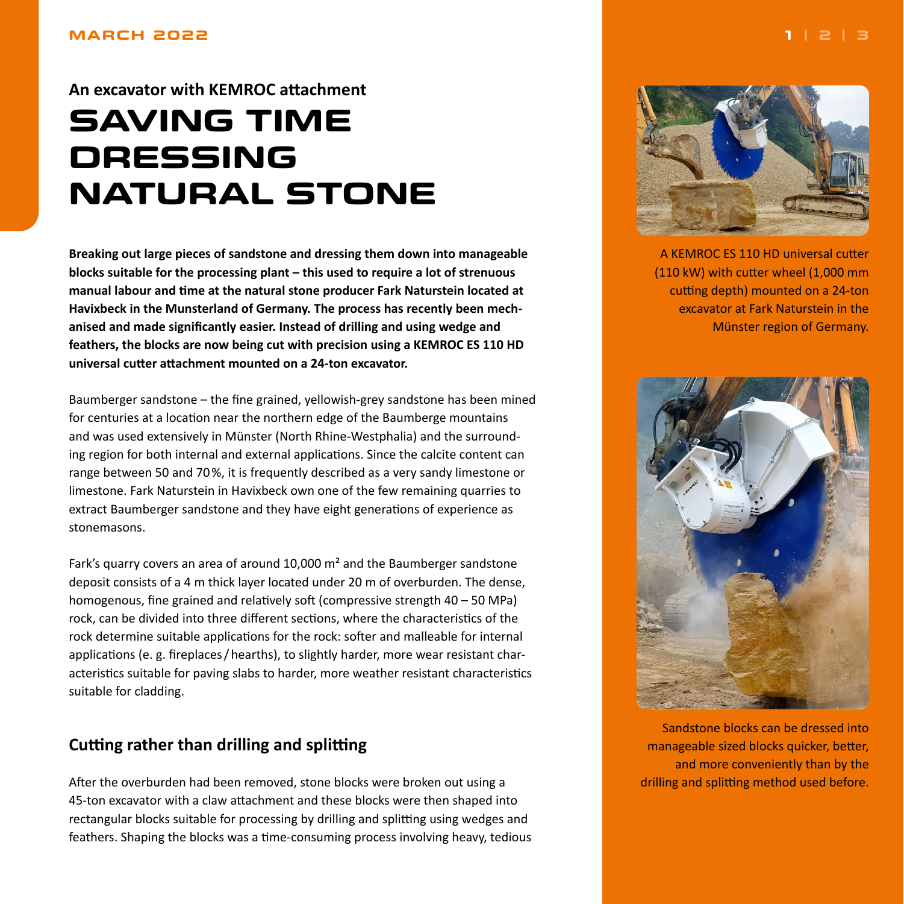#### <span id="page-0-0"></span>**MARCH 2022**

## **An excavator with KEMROC attachment**

# **SAVING TIME DRESSING NATURAL STONE**

**Breaking out large pieces of sandstone and dressing them down into manageable blocks suitable for the processing plant – this used to require a lot of strenuous manual labour and time at the natural stone producer Fark Naturstein located at Havixbeck in the Munsterland of Germany. The process has recently been mechanised and made significantly easier. Instead of drilling and using wedge and feathers, the blocks are now being cut with precision using a KEMROC ES 110 HD universal cutter attachment mounted on a 24-ton excavator.**

Baumberger sandstone – the fine grained, yellowish-grey sandstone has been mined for centuries at a location near the northern edge of the Baumberge mountains and was used extensively in Münster (North Rhine-Westphalia) and the surrounding region for both internal and external applications. Since the calcite content can range between 50 and 70%, it is frequently described as a very sandy limestone or limestone. Fark Naturstein in Havixbeck own one of the few remaining quarries to extract Baumberger sandstone and they have eight generations of experience as stonemasons.

Fark's quarry covers an area of around 10,000 m² and the Baumberger sandstone deposit consists of a 4 m thick layer located under 20 m of overburden. The dense, homogenous, fine grained and relatively soft (compressive strength 40 – 50 MPa) rock, can be divided into three different sections, where the characteristics of the rock determine suitable applications for the rock: softer and malleable for internal applications (e. g. fireplaces/hearths), to slightly harder, more wear resistant characteristics suitable for paving slabs to harder, more weather resistant characteristics suitable for cladding.

## **Cutting rather than drilling and splitting**

After the overburden had been removed, stone blocks were broken out using a 45-ton excavator with a claw attachment and these blocks were then shaped into rectangular blocks suitable for processing by drilling and splitting using wedges and feathers. Shaping the blocks was a time-consuming process involving heavy, tedious



A KEMROC ES 110 HD universal cutter (110 kW) with cutter wheel (1,000 mm cutting depth) mounted on a 24-ton excavator at Fark Naturstein in the Münster region of Germany.



Sandstone blocks can be dressed into manageable sized blocks quicker, better, and more conveniently than by the drilling and splitting method used before.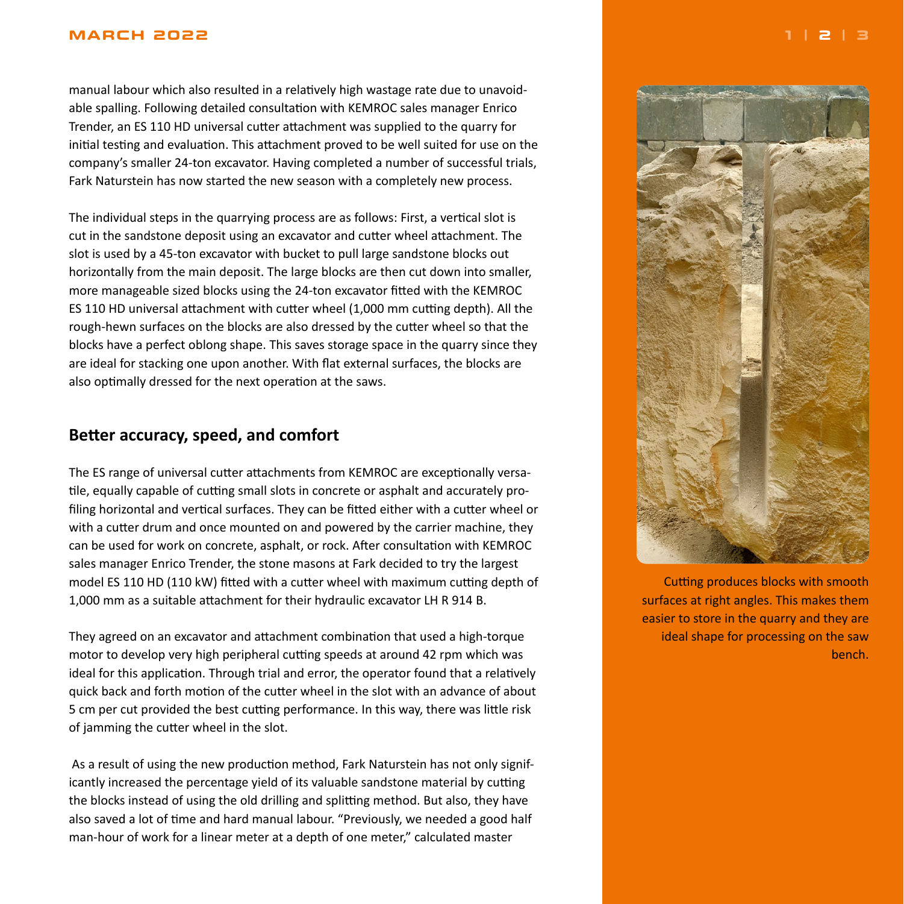#### <span id="page-1-0"></span>**MARCH 2022 [1](#page-0-0) | 2 | [3](#page-2-0)**

manual labour which also resulted in a relatively high wastage rate due to unavoidable spalling. Following detailed consultation with KEMROC sales manager Enrico Trender, an ES 110 HD universal cutter attachment was supplied to the quarry for initial testing and evaluation. This attachment proved to be well suited for use on the company's smaller 24-ton excavator. Having completed a number of successful trials, Fark Naturstein has now started the new season with a completely new process.

The individual steps in the quarrying process are as follows: First, a vertical slot is cut in the sandstone deposit using an excavator and cutter wheel attachment. The slot is used by a 45-ton excavator with bucket to pull large sandstone blocks out horizontally from the main deposit. The large blocks are then cut down into smaller, more manageable sized blocks using the 24-ton excavator fitted with the KEMROC ES 110 HD universal attachment with cutter wheel (1,000 mm cutting depth). All the rough-hewn surfaces on the blocks are also dressed by the cutter wheel so that the blocks have a perfect oblong shape. This saves storage space in the quarry since they are ideal for stacking one upon another. With flat external surfaces, the blocks are also optimally dressed for the next operation at the saws.

## **Better accuracy, speed, and comfort**

The ES range of universal cutter attachments from KEMROC are exceptionally versatile, equally capable of cutting small slots in concrete or asphalt and accurately profiling horizontal and vertical surfaces. They can be fitted either with a cutter wheel or with a cutter drum and once mounted on and powered by the carrier machine, they can be used for work on concrete, asphalt, or rock. After consultation with KEMROC sales manager Enrico Trender, the stone masons at Fark decided to try the largest model ES 110 HD (110 kW) fitted with a cutter wheel with maximum cutting depth of 1,000 mm as a suitable attachment for their hydraulic excavator LH R 914 B.

They agreed on an excavator and attachment combination that used a high-torque motor to develop very high peripheral cutting speeds at around 42 rpm which was ideal for this application. Through trial and error, the operator found that a relatively quick back and forth motion of the cutter wheel in the slot with an advance of about 5 cm per cut provided the best cutting performance. In this way, there was little risk of jamming the cutter wheel in the slot.

 As a result of using the new production method, Fark Naturstein has not only significantly increased the percentage yield of its valuable sandstone material by cutting the blocks instead of using the old drilling and splitting method. But also, they have also saved a lot of time and hard manual labour. "Previously, we needed a good half man-hour of work for a linear meter at a depth of one meter," calculated master



Cutting produces blocks with smooth surfaces at right angles. This makes them easier to store in the quarry and they are ideal shape for processing on the saw bench.